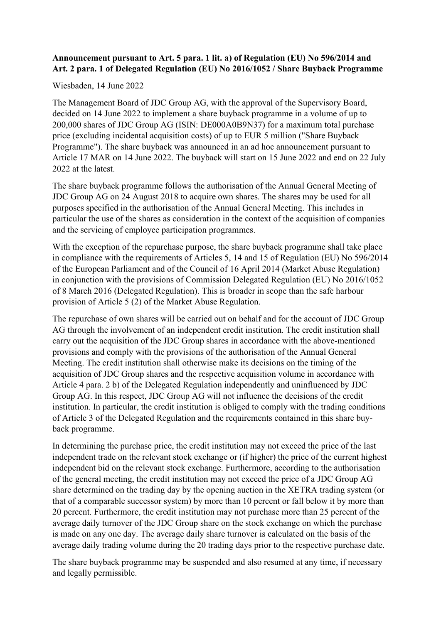## Announcement pursuant to Art. 5 para. 1 lit. a) of Regulation (EU) No 596/2014 and Art. 2 para. 1 of Delegated Regulation (EU) No 2016/1052 / Share Buyback Programme

Wiesbaden, 14 June 2022

The Management Board of JDC Group AG, with the approval of the Supervisory Board, decided on 14 June 2022 to implement a share buyback programme in a volume of up to 200,000 shares of JDC Group AG (ISIN: DE000A0B9N37) for a maximum total purchase price (excluding incidental acquisition costs) of up to EUR 5 million ("Share Buyback Programme"). The share buyback was announced in an ad hoc announcement pursuant to Article 17 MAR on 14 June 2022. The buyback will start on 15 June 2022 and end on 22 July 2022 at the latest.

The share buyback programme follows the authorisation of the Annual General Meeting of JDC Group AG on 24 August 2018 to acquire own shares. The shares may be used for all purposes specified in the authorisation of the Annual General Meeting. This includes in particular the use of the shares as consideration in the context of the acquisition of companies and the servicing of employee participation programmes.

With the exception of the repurchase purpose, the share buyback programme shall take place in compliance with the requirements of Articles 5, 14 and 15 of Regulation (EU) No 596/2014 of the European Parliament and of the Council of 16 April 2014 (Market Abuse Regulation) in conjunction with the provisions of Commission Delegated Regulation (EU) No 2016/1052 of 8 March 2016 (Delegated Regulation). This is broader in scope than the safe harbour provision of Article 5 (2) of the Market Abuse Regulation.

The repurchase of own shares will be carried out on behalf and for the account of JDC Group AG through the involvement of an independent credit institution. The credit institution shall carry out the acquisition of the JDC Group shares in accordance with the above-mentioned provisions and comply with the provisions of the authorisation of the Annual General Meeting. The credit institution shall otherwise make its decisions on the timing of the acquisition of JDC Group shares and the respective acquisition volume in accordance with Article 4 para. 2 b) of the Delegated Regulation independently and uninfluenced by JDC Group AG. In this respect, JDC Group AG will not influence the decisions of the credit institution. In particular, the credit institution is obliged to comply with the trading conditions of Article 3 of the Delegated Regulation and the requirements contained in this share buyback programme.

In determining the purchase price, the credit institution may not exceed the price of the last independent trade on the relevant stock exchange or (if higher) the price of the current highest independent bid on the relevant stock exchange. Furthermore, according to the authorisation of the general meeting, the credit institution may not exceed the price of a JDC Group AG share determined on the trading day by the opening auction in the XETRA trading system (or that of a comparable successor system) by more than 10 percent or fall below it by more than 20 percent. Furthermore, the credit institution may not purchase more than 25 percent of the average daily turnover of the JDC Group share on the stock exchange on which the purchase is made on any one day. The average daily share turnover is calculated on the basis of the average daily trading volume during the 20 trading days prior to the respective purchase date.

The share buyback programme may be suspended and also resumed at any time, if necessary and legally permissible.